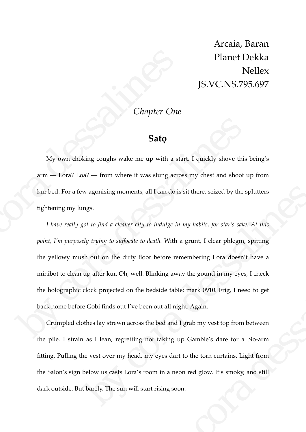Arcaia, Baran Planet Dekka Nellex JS.VC.NS.795.697

## *Chapter One*

## **Satọ**

My own choking coughs wake me up with a start. I quickly shove this being's arm — Lora? Loa? — from where it was slung across my chest and shoot up from kur bed. For a few agonising moments, all I can do is sit there, seized by the splutters tightening my lungs. **Sato**<br>
My own choking coughs wake me up with a sta<br>
arm — Lora? Loa? — from where it was slung acros<br>
kur bed. For a few agonising moments, all I can do is:<br>
tightening my lungs.<br>
I have really got to find a cleaner city

*I have really got to find a cleaner city to indulge in my habits, for star's sake. At this point, I'm purposely trying to suffocate to death.* With a grunt, I clear phlegm, spitting the yellowy mush out on the dirty floor before remembering Lora doesn't have a minibot to clean up after kur. Oh, well. Blinking away the gound in my eyes, I check the holographic clock projected on the bedside table: mark 0910. Frig, I need to get back home before Gobi finds out I've been out all night. Again. **Sato**<br> **Sato**<br>
My own choking coughs wake me up with a start. I quickly shove this t<br>
arm  $-$  Lora? Loa?  $-$  from where it was slung across my chest and shoot up<br>
kur bed. For a few agonising moments, all I can do is sit w agonising moments, all I can do is sit there, seized by the splutters<br>ngs.<br>to to find a cleaner city to indulge in my habits, for star's sake. At this<br>sly trying to suffocate to death. With a grunt, I clear phlegm, spitt

Crumpled clothes lay strewn across the bed and I grab my vest top from between the pile. I strain as I lean, regretting not taking up Gamble's dare for a bio-arm fitting. Pulling the vest over my head, my eyes dart to the torn curtains. Light from the Salon's sign below us casts Lora's room in a neon red glow. It's smoky, and still dark outside. But barely. The sun will start rising soon. before remembering Lora doesn't have a<br>inking away the gound in my eyes, I check<br>edside table: mark 0910. Frig, I need to get<br>nout all night. Again.<br>e bed and I grab my vest top from between<br>of taking up Gamble's dare for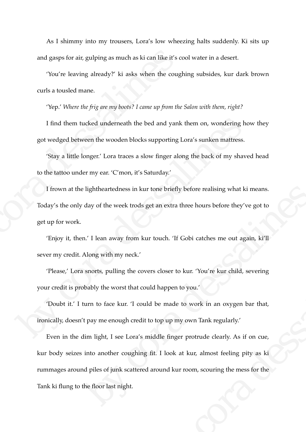As I shimmy into my trousers, Lora's low wheezing halts suddenly. Ki sits up and gasps for air, gulping as much as ki can like it's cool water in a desert.

'You're leaving already?' ki asks when the coughing subsides, kur dark brown curls a tousled mane.

'Yep.' *Where the frig are my boots? I came up from the Salon with them, right?* 

I find them tucked underneath the bed and yank them on, wondering how they got wedged between the wooden blocks supporting Lora's sunken mattress.

'Stay a little longer.' Lora traces a slow finger along the back of my shaved head to the tattoo under my ear. 'C'mon, it's Saturday.'

I frown at the lightheartedness in kur tone briefly before realising what ki means. Today's the only day of the week trods get an extra three hours before they've got to get up for work. and gasps for air, gulping as much as ki can like it's cc<br>
"You're leaving already?" ki asks when the cough<br>
curls a tousled mane.<br>
"Yep.' Where the frig are my boots? I came up from the<br>
1 find them tucked underneath the I find them tucked underneath the bed and yank them on, wondering hoveofort wedged between the wooden blocks supporting Lora's sunken mattress.<br>
Stay a little longer.' Lora traces a slow finger along the back of my shave<br>

'Enjoy it, then.' I lean away from kur touch. 'If Gobi catches me out again, ki'll sever my credit. Along with my neck.'

'Please,' Lora snorts, pulling the covers closer to kur. 'You're kur child, severing your credit is probably the worst that could happen to you.'

'Doubt it.' I turn to face kur. 'I could be made to work in an oxygen bar that, ironically, doesn't pay me enough credit to top up my own Tank regularly.'

Even in the dim light, I see Lora's middle finger protrude clearly. As if on cue, kur body seizes into another coughing fit. I look at kur, almost feeling pity as ki rummages around piles of junk scattered around kur room, scouring the mess for the Tank ki flung to the floor last night. lightheartedness in kur tone briefly before realising what ki means.<br>
day of the week trods get an extra three hours before they've got to<br>
n' I lean away from kur touch. The Gobi catches me out again, ki'll<br>
Along with my rs closer to kur. 'You're kur child, severing<br>Id happen to you.'<br>
1 be made to work in an oxygen bar that,<br>
2 top up my own Tank regularly.'<br>
iddle finger protrude clearly. As if on cue,<br>
fit. I look at kur, almost feeling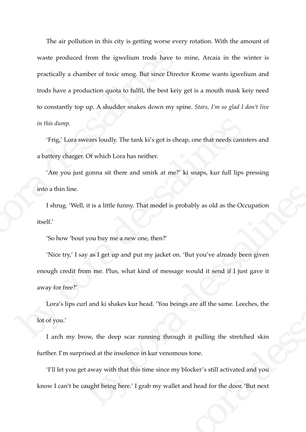The air pollution in this city is getting worse every rotation. With the amount of waste produced from the igwelium trods have to mine, Arcaia in the winter is practically a chamber of toxic smog. But since Director Krome wants igwelium and trods have a production quota to fulfil, the best keiy get is a mouth mask keiy need to constantly top up. A shudder snakes down my spine. *Stars, I'm so glad I don't live in this dump.* waste produced from the igwelium trods have to<br>practically a chamber of toxic smog. But since Direct<br>trods have a production quota to fulfil, the best keiy<br>to constantly top up. A shudder snakes down my spi<br>in this dump.<br>T

'Frig,' Lora swears loudly. The tank ki's got is cheap, one that needs canisters and a battery charger. Of which Lora has neither.

'Are you just gonna sit there and smirk at me?' ki snaps, kur full lips pressing into a thin line.

I shrug. 'Well, it is a little funny. That model is probably as old as the Occupation itself.'

'So how 'bout you buy me a new one, then?'

'Nice try,' I say as I get up and put my jacket on. 'But you've already been given enough credit from me. Plus, what kind of message would it send if I just gave it away for free?' in this dump.<br>
"Frig" Lora swears loudly. The tank ki's got is cheap, one that needs can<br>iste a battery charger. Of which Lora has neither.<br>
"Are you just gonna sit there and smirk at me?" ki snaps, kur full lips pr<br>
into The state of the state of the desired with the desired with the desired with the state of the state of the state of the state of the state of the state of the state of the state of the state of the state of the state of th by jacket on. 'But you've already been given<br>of message would it send if I just gave it<br>d. 'You beings are all the same. Leeches, the<br>ing through it pulling the stretched skin<br>cur venomous tone.<br>e since my blocker's still

Lora's lips curl and ki shakes kur head. 'You beings are all the same. Leeches, the lot of you.'

I arch my brow, the deep scar running through it pulling the stretched skin further. I'm surprised at the insolence in kur venomous tone.

'I'll let you get away with that this time since my blocker's still activated and you know I can't be caught being here.' I grab my wallet and head for the door. 'But next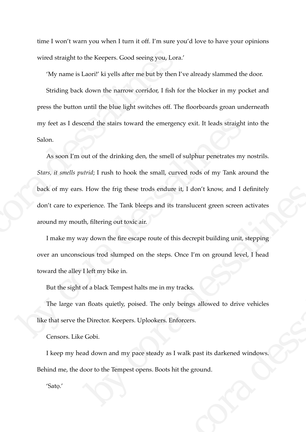time I won't warn you when I turn it off. I'm sure you'd love to have your opinions wired straight to the Keepers. Good seeing you, Lora.'

'My name is Laori!' ki yells after me but by then I've already slammed the door.

Striding back down the narrow corridor, I fish for the blocker in my pocket and press the button until the blue light switches off. The floorboards groan underneath my feet as I descend the stairs toward the emergency exit. It leads straight into the Salon.

As soon I'm out of the drinking den, the smell of sulphur penetrates my nostrils. *Stars, it smells putrid*; I rush to hook the small, curved rods of my Tank around the back of my ears. How the frig these trods endure it, I don't know, and I definitely don't care to experience. The Tank bleeps and its translucent green screen activates around my mouth, filtering out toxic air. wired straight to the Keepers. Good seeing you, Lora.<br>
"My name is Laori!" ki yells after me but by then I's<br>
Striding back down the narrow corridor, I fish for<br>
press the button until the blue light switches off. The<br>
my my feet as I descend the stairs toward the emergency exit. It leads straight in Salon.<br>
As soon I'm out of the drinking den, the smell of sulphur penetrates my ne<br>
Stars, it smells putrid; I rush to hook the small, curved From the frightese trods endure it, I don't know, and I definitely<br>perience. The Tank bleeps and its translucent green screen activates<br>th, filtering out toxic air.<br>ay down the fire escape route of this decrepit building u

I make my way down the fire escape route of this decrepit building unit, stepping over an unconscious trod slumped on the steps. Once I'm on ground level, I head toward the alley I left my bike in.

But the sight of a black Tempest halts me in my tracks.

The large van floats quietly, poised. The only beings allowed to drive vehicles like that serve the Director. Keepers. Uplookers. Enforcers. by correction of the steps. Once I'm on ground level, I head<br>the in my tracks.<br>The only beings allowed to drive vehicles<br>okers. Enforcers.<br>eady as I walk past its darkened windows.<br>S. Boots hit the ground.

Censors. Like Gobi.

I keep my head down and my pace steady as I walk past its darkened windows. Behind me, the door to the Tempest opens. Boots hit the ground.

'Satọ.'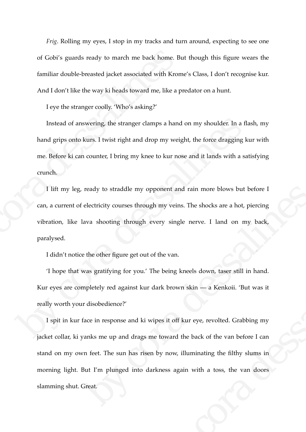*Frig*. Rolling my eyes, I stop in my tracks and turn around, expecting to see one of Gobi's guards ready to march me back home. But though this figure wears the familiar double-breasted jacket associated with Krome's Class, I don't recognise kur. And I don't like the way ki heads toward me, like a predator on a hunt.

I eye the stranger coolly. 'Who's asking?'

Instead of answering, the stranger clamps a hand on my shoulder. In a flash, my hand grips onto kurs. I twist right and drop my weight, the force dragging kur with me. Before ki can counter, I bring my knee to kur nose and it lands with a satisfying crunch. of Gobi's guards ready to march me back home. Bu<br>familiar double-breasted jacket associated with Krom<br>And I don't like the way ki heads toward me, like a p1<br>I eye the stranger coolly. 'Who's asking?'<br>Instead of answering, Instead of answering, the stranger clamps a hand on my shoulder: In a flast<br>hand grips onto kurs. I twist right and drop my weight, the force dragging ku<br>me. Before ki can counter, I bring my knee to kur nose and it lands

I lift my leg, ready to straddle my opponent and rain more blows but before I can, a current of electricity courses through my veins. The shocks are a hot, piercing vibration, like lava shooting through every single nerve. I land on my back, paralysed.

I didn't notice the other figure get out of the van.

'I hope that was gratifying for you.' The being kneels down, taser still in hand. Kur eyes are completely red against kur dark brown skin — a Kenkoii. 'But was it really worth your disobedience?'

I spit in kur face in response and ki wipes it off kur eye, revolted. Grabbing my jacket collar, ki yanks me up and drags me toward the back of the van before I can stand on my own feet. The sun has risen by now, illuminating the filthy slums in morning light. But I'm plunged into darkness again with a toss, the van doors slamming shut. Great. ready to straddle my opponent and rain more blows but before I<br>electricity courses through my veins. The shocks are a hot, piercing<br>ava shooting through every single nerve. 1 land on my back,<br>the the other figure get out o of the van.<br>The being kneels down, taser still in hand.<br>dark brown skin — a Kenkoii. 'But was it<br>vipes it off kur eye, revolted. Grabbing my<br>me toward the back of the van before I can<br>n by now, illuminating the filthy slum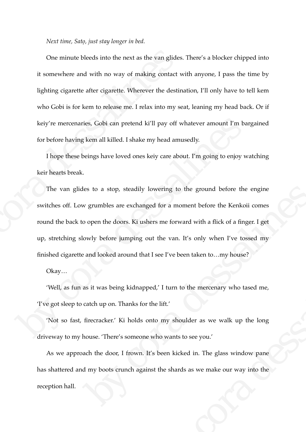*Next time, Satọ, just stay longer in bed.* 

One minute bleeds into the next as the van glides. There's a blocker chipped into it somewhere and with no way of making contact with anyone, I pass the time by lighting cigarette after cigarette. Wherever the destination, I'll only have to tell kem who Gobi is for kem to release me. I relax into my seat, leaning my head back. Or if keiy're mercenaries, Gobi can pretend ki'll pay off whatever amount I'm bargained for before having kem all killed. I shake my head amusedly. One minute bleeds into the next as the van glides.<br>
it somewhere and with no way of making contact w<br>
lighting cigarette after cigarette. Wherever the destin<br>
who Gobi is for kem to release me. I relax into my se<br>
keiy're

I hope these beings have loved ones keiy care about. I'm going to enjoy watching keir hearts break.

The van glides to a stop, steadily lowering to the ground before the engine switches off. Low grumbles are exchanged for a moment before the Kenkoii comes round the back to open the doors. Ki ushers me forward with a flick of a finger. I get up, stretching slowly before jumping out the van. It's only when I've tossed my finished cigarette and looked around that I see I've been taken to…my house? keiy're mercenaries, Gobi can pretend ki'll pay off whatever amount I'm bary<br>for before having kem all killed. I shake my head amusedly.<br>I hope these beings have loved ones keiy care about. I'm going to enjoy wa<br>keir heart by the study of the ground before the engine<br>of grumbles are exchanged for a moment before the Kenkoii comes<br>open the doors. Ki ushers me forward with a flick of a finger. 1 get<br>owly before jumping out the van. It's only w

Okay…

'Well, as fun as it was being kidnapped,' I turn to the mercenary who tased me, 'I've got sleep to catch up on. Thanks for the lift.'

'Not so fast, firecracker.' Ki holds onto my shoulder as we walk up the long driveway to my house. 'There's someone who wants to see you.'

As we approach the door, I frown. It's been kicked in. The glass window pane has shattered and my boots crunch against the shards as we make our way into the reception hall. I see I've been taken to...my house?<br>ed,' I turn to the mercenary who tased me,<br>he lift.'<br>to my shoulder as we walk up the long<br>who wants to see you.'<br>'s been kicked in. The glass window pane<br>st the shards as we make our w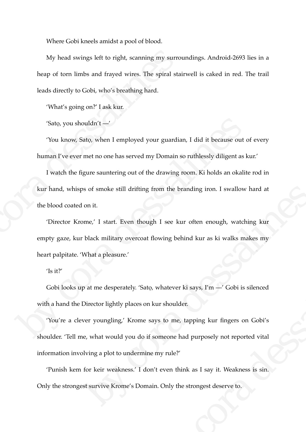Where Gobi kneels amidst a pool of blood.

My head swings left to right, scanning my surroundings. Android-2693 lies in a heap of torn limbs and frayed wires. The spiral stairwell is caked in red. The trail leads directly to Gobi, who's breathing hard.

'What's going on?' I ask kur.

'Satọ, you shouldn't —'

'You know, Satọ, when I employed your guardian, I did it because out of every human I've ever met no one has served my Domain so ruthlessly diligent as kur.'

I watch the figure sauntering out of the drawing room. Ki holds an okalite rod in kur hand, whisps of smoke still drifting from the branding iron. I swallow hard at the blood coated on it. My head swings left to right, scanning my surrousleap of torn limbs and frayed wires. The spiral stail<br>leads directly to Gobi, who's breathing hard.<br>
"What's going on?" I ask kur.<br>
"Sato, you shouldn't —"<br>
"You know, Sato "Sato, you shouldn't —"<br>
"You know, Sato, when I employed your guardian, I did it because out of<br>
human I've ever met no one has served my Domain so ruthlessly diligent as ku<br>
I watch the figure sauntering out of the draw

'Director Krome,' I start. Even though I see kur often enough, watching kur empty gaze, kur black military overcoat flowing behind kur as ki walks makes my heart palpitate. 'What a pleasure.' is of smoke still drifting from the branding iron. I swallow hard at<br>on it.<br>three,' 1 start. Even though 1 see kur often enough, watching kur<br>black military overcoat flowing behind kur as ki walks makes my<br>What a pleasure.

## 'Is it?'

Gobi looks up at me desperately. 'Satọ, whatever ki says, I'm —' Gobi is silenced with a hand the Director lightly places on kur shoulder.

'You're a clever youngling,' Krome says to me, tapping kur fingers on Gobi's shoulder. 'Tell me, what would you do if someone had purposely not reported vital information involving a plot to undermine my rule?' by the same of the same of the same of the state of the state of the state of the same of the same of the someone had purposely not reported vital<br>the my rule?'<br>And the state of the state of the state of the state of the

'Punish kem for keir weakness.' I don't even think as I say it. Weakness is sin. Only the strongest survive Krome's Domain. Only the strongest deserve to.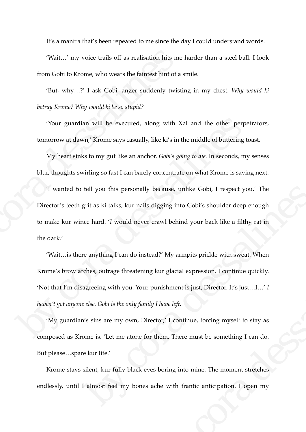It's a mantra that's been repeated to me since the day I could understand words.

'Wait…' my voice trails off as realisation hits me harder than a steel ball. I look from Gobi to Krome, who wears the faintest hint of a smile.

'But, why…?' I ask Gobi, anger suddenly twisting in my chest. *Why would ki betray Krome? Why would ki be so stupid?* 

'Your guardian will be executed, along with Xal and the other perpetrators, tomorrow at dawn,' Krome says casually, like ki's in the middle of buttering toast.

My heart sinks to my gut like an anchor. *Gobi's going to die.* In seconds, my senses blur, thoughts swirling so fast I can barely concentrate on what Krome is saying next.

'I wanted to tell you this personally because, unlike Gobi, I respect you.' The Director's teeth grit as ki talks, kur nails digging into Gobi's shoulder deep enough to make kur wince hard. '*I* would never crawl behind your back like a filthy rat in the dark.' Wait...' my voice trails off as realisation hits me<br>from Gobi to Krome, who wears the faintest hint of a s<br>But, why...?' I ask Gobi, anger suddenly twisti<br>betray Krome? Why would ki be so stupid?<br>'Your guardian will be exe

'Wait…is there anything I can do instead?' My armpits prickle with sweat. When Krome's brow arches, outrage threatening kur glacial expression, I continue quickly. 'Not that I'm disagreeing with you. Your punishment is just, Director. It's just…I…' *I haven't got anyone else. Gobi is the only family I have left.*  Tour guardian will be executed, along with Xal and the other perpet<br>tomorrow at dawn,' Krome says casually, like ki's in the middle of buttering to<br>My heart sinks to my gut like an anchor. Cobi's *going to die*. In second tell you this personally because, unlike Gobi, I respect you.' The grit as ki talks, kur nails digging into Gobi's shoulder deep enough<br>coe hard. 'I would never crawl behind your back like a filthy rat in<br>ea anything I can ad?" My armpts prickle with sweat. When<br>g kur glacial expression, I continue quickly.<br>punishment is just, Director. It's just...I...' I<br>y I have left.<br>ector,' I continue, forcing myself to stay as<br>them. There must be somet

'My guardian's sins are my own, Director,' I continue, forcing myself to stay as composed as Krome is. 'Let me atone for them. There must be something I can do. But please…spare kur life.'

Krome stays silent, kur fully black eyes boring into mine. The moment stretches endlessly, until I almost feel my bones ache with frantic anticipation. I open my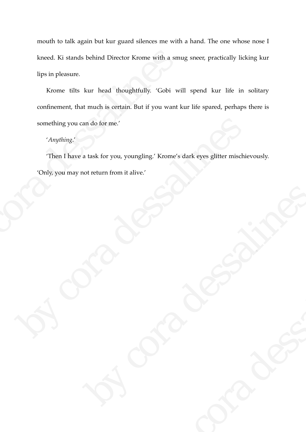mouth to talk again but kur guard silences me with a hand. The one whose nose I kneed. Ki stands behind Director Krome with a smug sneer, practically licking kur lips in pleasure.

Krome tilts kur head thoughtfully. 'Gobi will spend kur life in solitary confinement, that much is certain. But if you want kur life spared, perhaps there is something you can do for me.' kneed. Ki stands behind Director Krome with a smullips in pleasure.<br>
Krome tilts kur head thoughtfully. 'Gobi will<br>
confinement, that much is certain. But if you want k<br>
something you can do for me.'<br>
'Anything.'<br>
'Then I

## '*Anything*.'

'Then I have a task for you, youngling.' Krome's dark eyes glitter mischievously. 'Only, you may not return from it alive.' something you can do for me.'<br>
'Anything.'<br>
Then I have a task for you, youngling.' Krome's dark eyes glitter mischief<br>
'Only, you may not return from it alive.'<br>
Contact the contact of the contact of the contact of the co